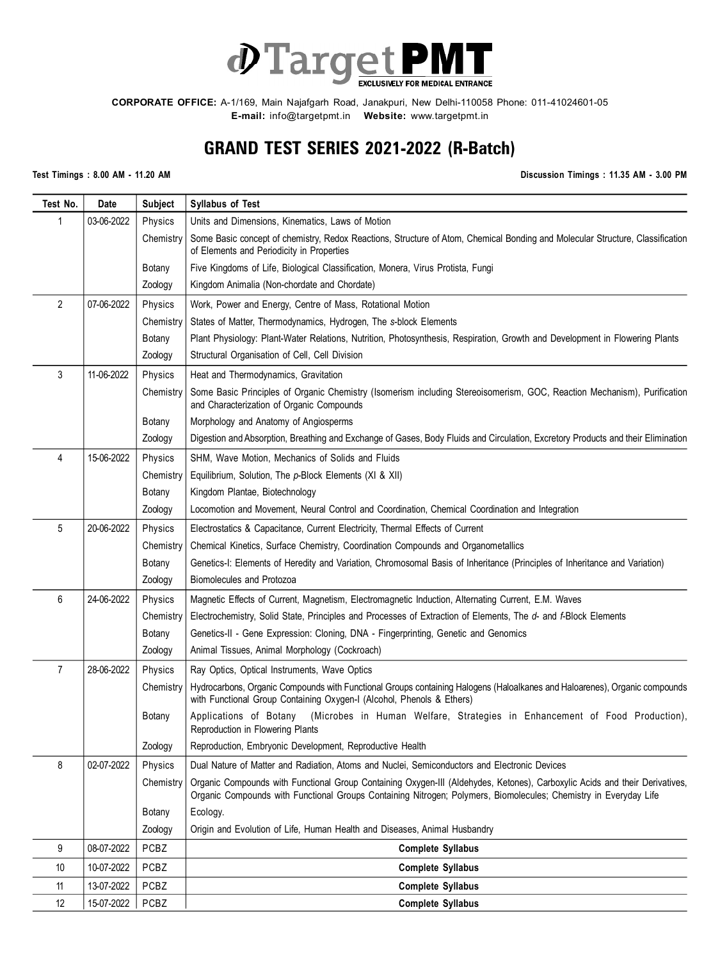

**E-mail:** info@targetpmt.in **Website:** www.targetpmt.in

## **GRAND TEST SERIES 2021-2022 (R-Batch)**

**Test Timings : 8.00 AM - 11.20 AM Discussion Timings : 11.35 AM - 3.00 PM**

| Test No.       | Date       | <b>Subject</b> | <b>Syllabus of Test</b>                                                                                                                                                                                                                         |
|----------------|------------|----------------|-------------------------------------------------------------------------------------------------------------------------------------------------------------------------------------------------------------------------------------------------|
| 1              | 03-06-2022 | Physics        | Units and Dimensions, Kinematics, Laws of Motion                                                                                                                                                                                                |
|                |            | Chemistry      | Some Basic concept of chemistry, Redox Reactions, Structure of Atom, Chemical Bonding and Molecular Structure, Classification<br>of Elements and Periodicity in Properties                                                                      |
|                |            | Botany         | Five Kingdoms of Life, Biological Classification, Monera, Virus Protista, Fungi                                                                                                                                                                 |
|                |            | Zoology        | Kingdom Animalia (Non-chordate and Chordate)                                                                                                                                                                                                    |
| $\overline{2}$ | 07-06-2022 | Physics        | Work, Power and Energy, Centre of Mass, Rotational Motion                                                                                                                                                                                       |
|                |            | Chemistry      | States of Matter, Thermodynamics, Hydrogen, The s-block Elements                                                                                                                                                                                |
|                |            | Botany         | Plant Physiology: Plant-Water Relations, Nutrition, Photosynthesis, Respiration, Growth and Development in Flowering Plants                                                                                                                     |
|                |            | Zoology        | Structural Organisation of Cell, Cell Division                                                                                                                                                                                                  |
| 3              | 11-06-2022 | Physics        | Heat and Thermodynamics, Gravitation                                                                                                                                                                                                            |
|                |            | Chemistry      | Some Basic Principles of Organic Chemistry (Isomerism including Stereoisomerism, GOC, Reaction Mechanism), Purification<br>and Characterization of Organic Compounds                                                                            |
|                |            | Botany         | Morphology and Anatomy of Angiosperms                                                                                                                                                                                                           |
|                |            | Zoology        | Digestion and Absorption, Breathing and Exchange of Gases, Body Fluids and Circulation, Excretory Products and their Elimination                                                                                                                |
| 4              | 15-06-2022 | Physics        | SHM, Wave Motion, Mechanics of Solids and Fluids                                                                                                                                                                                                |
|                |            | Chemistry      | Equilibrium, Solution, The p-Block Elements (XI & XII)                                                                                                                                                                                          |
|                |            | Botany         | Kingdom Plantae, Biotechnology                                                                                                                                                                                                                  |
|                |            | Zoology        | Locomotion and Movement, Neural Control and Coordination, Chemical Coordination and Integration                                                                                                                                                 |
| 5              | 20-06-2022 | Physics        | Electrostatics & Capacitance, Current Electricity, Thermal Effects of Current                                                                                                                                                                   |
|                |            | Chemistry      | Chemical Kinetics, Surface Chemistry, Coordination Compounds and Organometallics                                                                                                                                                                |
|                |            | Botany         | Genetics-I: Elements of Heredity and Variation, Chromosomal Basis of Inheritance (Principles of Inheritance and Variation)                                                                                                                      |
|                |            | Zoology        | Biomolecules and Protozoa                                                                                                                                                                                                                       |
| 6              | 24-06-2022 | Physics        | Magnetic Effects of Current, Magnetism, Electromagnetic Induction, Alternating Current, E.M. Waves                                                                                                                                              |
|                |            | Chemistry      | Electrochemistry, Solid State, Principles and Processes of Extraction of Elements, The d- and f-Block Elements                                                                                                                                  |
|                |            | Botany         | Genetics-II - Gene Expression: Cloning, DNA - Fingerprinting, Genetic and Genomics                                                                                                                                                              |
|                |            | Zoology        | Animal Tissues, Animal Morphology (Cockroach)                                                                                                                                                                                                   |
| $\overline{7}$ | 28-06-2022 | Physics        | Ray Optics, Optical Instruments, Wave Optics                                                                                                                                                                                                    |
|                |            | Chemistry      | Hydrocarbons, Organic Compounds with Functional Groups containing Halogens (Haloalkanes and Haloarenes), Organic compounds<br>with Functional Group Containing Oxygen-I (Alcohol, Phenols & Ethers)                                             |
|                |            | Botany         | Applications of Botany<br>(Microbes in Human Welfare, Strategies in Enhancement of Food Production),<br>Reproduction in Flowering Plants                                                                                                        |
|                |            | Zoology        | Reproduction, Embryonic Development, Reproductive Health                                                                                                                                                                                        |
| 8              | 02-07-2022 | Physics        | Dual Nature of Matter and Radiation, Atoms and Nuclei, Semiconductors and Electronic Devices                                                                                                                                                    |
|                |            | Chemistry      | Organic Compounds with Functional Group Containing Oxygen-III (Aldehydes, Ketones), Carboxylic Acids and their Derivatives,<br>Organic Compounds with Functional Groups Containing Nitrogen; Polymers, Biomolecules; Chemistry in Everyday Life |
|                |            | Botany         | Ecology.                                                                                                                                                                                                                                        |
|                |            | Zoology        | Origin and Evolution of Life, Human Health and Diseases, Animal Husbandry                                                                                                                                                                       |
| 9              | 08-07-2022 | PCBZ           | <b>Complete Syllabus</b>                                                                                                                                                                                                                        |
| 10             | 10-07-2022 | <b>PCBZ</b>    | <b>Complete Syllabus</b>                                                                                                                                                                                                                        |
| 11             | 13-07-2022 | PCBZ           | <b>Complete Syllabus</b>                                                                                                                                                                                                                        |
| 12             | 15-07-2022 | PCBZ           | <b>Complete Syllabus</b>                                                                                                                                                                                                                        |